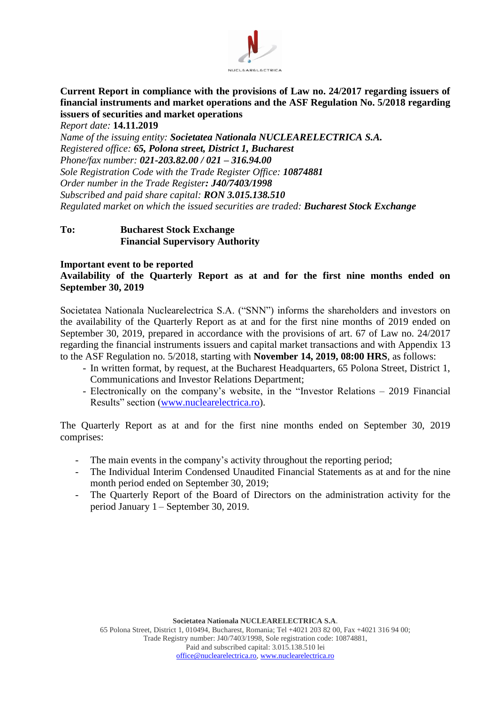

# **Current Report in compliance with the provisions of Law no. 24/2017 regarding issuers of financial instruments and market operations and the ASF Regulation No. 5/2018 regarding issuers of securities and market operations**

*Report date:* **14.11.2019** *Name of the issuing entity: Societatea Nationala NUCLEARELECTRICA S.A. Registered office: 65, Polona street, District 1, Bucharest Phone/fax number: 021-203.82.00 / 021 – 316.94.00 Sole Registration Code with the Trade Register Office: 10874881 Order number in the Trade Register: J40/7403/1998 Subscribed and paid share capital: RON 3.015.138.510 Regulated market on which the issued securities are traded: Bucharest Stock Exchange*

#### **To: Bucharest Stock Exchange Financial Supervisory Authority**

#### **Important event to be reported**

#### **Availability of the Quarterly Report as at and for the first nine months ended on September 30, 2019**

Societatea Nationala Nuclearelectrica S.A. ("SNN") informs the shareholders and investors on the availability of the Quarterly Report as at and for the first nine months of 2019 ended on September 30, 2019, prepared in accordance with the provisions of art. 67 of Law no. 24/2017 regarding the financial instruments issuers and capital market transactions and with Appendix 13 to the ASF Regulation no. 5/2018, starting with **November 14, 2019, 08:00 HRS**, as follows:

- In written format, by request, at the Bucharest Headquarters, 65 Polona Street, District 1, Communications and Investor Relations Department;
- Electronically on the company's website, in the "Investor Relations 2019 Financial Results" section [\(www.nuclearelectrica.ro\)](http://www.nuclearelectrica.ro/).

The Quarterly Report as at and for the first nine months ended on September 30, 2019 comprises:

- The main events in the company's activity throughout the reporting period;
- The Individual Interim Condensed Unaudited Financial Statements as at and for the nine month period ended on September 30, 2019;
- The Quarterly Report of the Board of Directors on the administration activity for the period January 1 – September 30, 2019.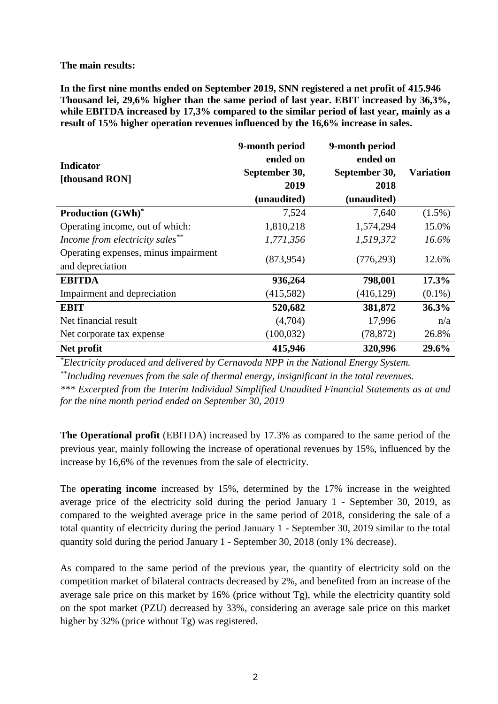**The main results:**

**In the first nine months ended on September 2019, SNN registered a net profit of 415.946 Thousand lei, 29,6% higher than the same period of last year. EBIT increased by 36,3%, while EBITDA increased by 17,3% compared to the similar period of last year, mainly as a result of 15% higher operation revenues influenced by the 16,6% increase in sales.** 

| <b>Indicator</b><br>[thousand RON]                       | 9-month period<br>ended on<br>September 30,<br>2019<br>(unaudited) | 9-month period<br>ended on<br>September 30,<br>2018<br>(unaudited) | <b>Variation</b> |
|----------------------------------------------------------|--------------------------------------------------------------------|--------------------------------------------------------------------|------------------|
| <b>Production (GWh)*</b>                                 | 7,524                                                              | 7,640                                                              | $(1.5\%)$        |
| Operating income, out of which:                          | 1,810,218                                                          | 1,574,294                                                          | 15.0%            |
| Income from electricity sales**                          | 1,771,356                                                          | 1,519,372                                                          | $16.6\%$         |
| Operating expenses, minus impairment<br>and depreciation | (873, 954)                                                         | (776, 293)                                                         | 12.6%            |
| <b>EBITDA</b>                                            | 936,264                                                            | 798,001                                                            | 17.3%            |
| Impairment and depreciation                              | (415,582)                                                          | (416, 129)                                                         | $(0.1\%)$        |
| <b>EBIT</b>                                              | 520,682                                                            | 381,872                                                            | 36.3%            |
| Net financial result                                     | (4,704)                                                            | 17,996                                                             | n/a              |
| Net corporate tax expense                                | (100, 032)                                                         | (78, 872)                                                          | 26.8%            |
| Net profit                                               | 415,946                                                            | 320,996                                                            | 29.6%            |

*\*Electricity produced and delivered by Cernavoda NPP in the National Energy System.*

*\*\*Including revenues from the sale of thermal energy, insignificant in the total revenues.*

*\*\*\* Excerpted from the Interim Individual Simplified Unaudited Financial Statements as at and for the nine month period ended on September 30, 2019* 

**The Operational profit** (EBITDA) increased by 17.3% as compared to the same period of the previous year, mainly following the increase of operational revenues by 15%, influenced by the increase by 16,6% of the revenues from the sale of electricity.

The **operating income** increased by 15%, determined by the 17% increase in the weighted average price of the electricity sold during the period January 1 - September 30, 2019, as compared to the weighted average price in the same period of 2018, considering the sale of a total quantity of electricity during the period January 1 - September 30, 2019 similar to the total quantity sold during the period January 1 - September 30, 2018 (only 1% decrease).

As compared to the same period of the previous year, the quantity of electricity sold on the competition market of bilateral contracts decreased by 2%, and benefited from an increase of the average sale price on this market by 16% (price without Tg), while the electricity quantity sold on the spot market (PZU) decreased by 33%, considering an average sale price on this market higher by 32% (price without Tg) was registered.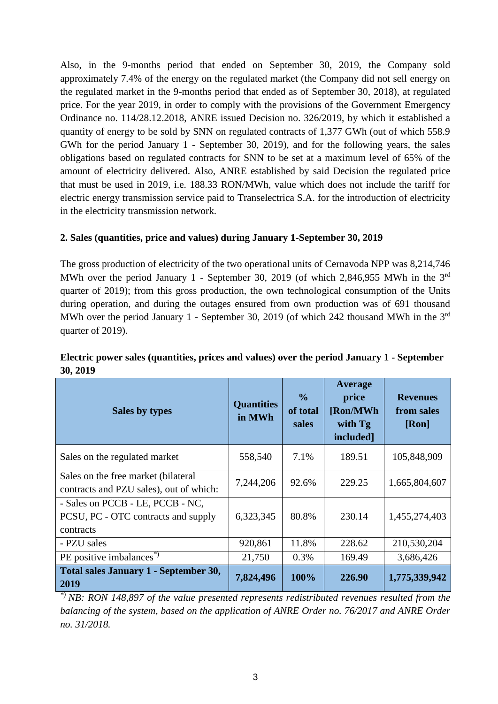Also, in the 9-months period that ended on September 30, 2019, the Company sold approximately 7.4% of the energy on the regulated market (the Company did not sell energy on the regulated market in the 9-months period that ended as of September 30, 2018), at regulated price. For the year 2019, in order to comply with the provisions of the Government Emergency Ordinance no. 114/28.12.2018, ANRE issued Decision no. 326/2019, by which it established a quantity of energy to be sold by SNN on regulated contracts of 1,377 GWh (out of which 558.9 GWh for the period January 1 - September 30, 2019), and for the following years, the sales obligations based on regulated contracts for SNN to be set at a maximum level of 65% of the amount of electricity delivered. Also, ANRE established by said Decision the regulated price that must be used in 2019, i.e. 188.33 RON/MWh, value which does not include the tariff for electric energy transmission service paid to Transelectrica S.A. for the introduction of electricity in the electricity transmission network.

#### **2. Sales (quantities, price and values) during January 1-September 30, 2019**

The gross production of electricity of the two operational units of Cernavoda NPP was 8,214,746 MWh over the period January 1 - September 30, 2019 (of which 2,846,955 MWh in the 3<sup>rd</sup> quarter of 2019); from this gross production, the own technological consumption of the Units during operation, and during the outages ensured from own production was of 691 thousand MWh over the period January 1 - September 30, 2019 (of which 242 thousand MWh in the 3<sup>rd</sup> quarter of 2019).

| Sales by types                                                                       | <b>Quantities</b><br>in MWh | $\frac{0}{0}$<br>of total<br>sales | Average<br>price<br>[Ron/MWh<br>with Tg<br>included] | <b>Revenues</b><br>from sales<br>[Ron] |
|--------------------------------------------------------------------------------------|-----------------------------|------------------------------------|------------------------------------------------------|----------------------------------------|
| Sales on the regulated market                                                        | 558,540                     | 7.1%                               | 189.51                                               | 105,848,909                            |
| Sales on the free market (bilateral<br>contracts and PZU sales), out of which:       | 7,244,206                   | 92.6%                              | 229.25                                               | 1,665,804,607                          |
| - Sales on PCCB - LE, PCCB - NC,<br>PCSU, PC - OTC contracts and supply<br>contracts | 6,323,345                   | 80.8%                              | 230.14                                               | 1,455,274,403                          |
| - PZU sales                                                                          | 920,861                     | 11.8%                              | 228.62                                               | 210,530,204                            |
| PE positive imbalances <sup>*</sup> )                                                | 21,750                      | 0.3%                               | 169.49                                               | 3,686,426                              |
| Total sales January 1 - September 30,<br>2019                                        | 7,824,496                   | 100%                               | 226.90                                               | 1,775,339,942                          |

## **Electric power sales (quantities, prices and values) over the period January 1 - September 30, 2019**

*\*) NB: RON 148,897 of the value presented represents redistributed revenues resulted from the balancing of the system, based on the application of ANRE Order no. 76/2017 and ANRE Order no. 31/2018.*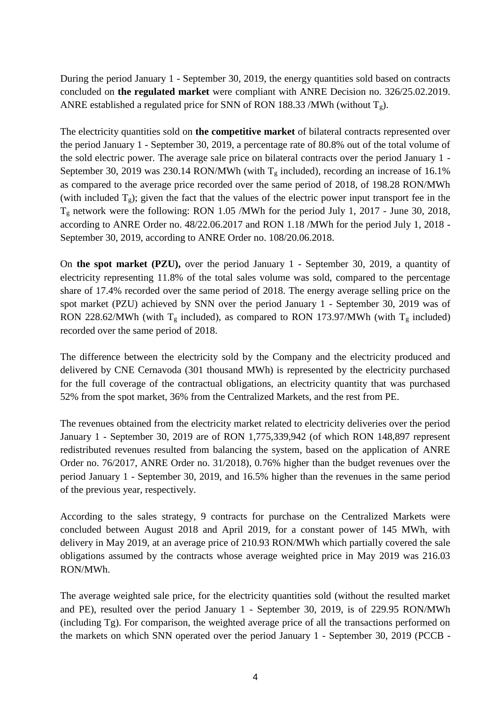During the period January 1 - September 30, 2019, the energy quantities sold based on contracts concluded on **the regulated market** were compliant with ANRE Decision no. 326/25.02.2019. ANRE established a regulated price for SNN of RON 188.33 /MWh (without  $T_g$ ).

The electricity quantities sold on **the competitive market** of bilateral contracts represented over the period January 1 - September 30, 2019, a percentage rate of 80.8% out of the total volume of the sold electric power. The average sale price on bilateral contracts over the period January 1 - September 30, 2019 was 230.14 RON/MWh (with  $T_g$  included), recording an increase of 16.1% as compared to the average price recorded over the same period of 2018, of 198.28 RON/MWh (with included  $T_g$ ); given the fact that the values of the electric power input transport fee in the T<sup>g</sup> network were the following: RON 1.05 /MWh for the period July 1, 2017 - June 30, 2018, according to ANRE Order no. 48/22.06.2017 and RON 1.18 /MWh for the period July 1, 2018 - September 30, 2019, according to ANRE Order no. 108/20.06.2018.

On **the spot market (PZU),** over the period January 1 - September 30, 2019, a quantity of electricity representing 11.8% of the total sales volume was sold, compared to the percentage share of 17.4% recorded over the same period of 2018. The energy average selling price on the spot market (PZU) achieved by SNN over the period January 1 - September 30, 2019 was of RON 228.62/MWh (with  $T_g$  included), as compared to RON 173.97/MWh (with  $T_g$  included) recorded over the same period of 2018.

The difference between the electricity sold by the Company and the electricity produced and delivered by CNE Cernavoda (301 thousand MWh) is represented by the electricity purchased for the full coverage of the contractual obligations, an electricity quantity that was purchased 52% from the spot market, 36% from the Centralized Markets, and the rest from PE.

The revenues obtained from the electricity market related to electricity deliveries over the period January 1 - September 30, 2019 are of RON 1,775,339,942 (of which RON 148,897 represent redistributed revenues resulted from balancing the system, based on the application of ANRE Order no. 76/2017, ANRE Order no. 31/2018), 0.76% higher than the budget revenues over the period January 1 - September 30, 2019, and 16.5% higher than the revenues in the same period of the previous year, respectively.

According to the sales strategy, 9 contracts for purchase on the Centralized Markets were concluded between August 2018 and April 2019, for a constant power of 145 MWh, with delivery in May 2019, at an average price of 210.93 RON/MWh which partially covered the sale obligations assumed by the contracts whose average weighted price in May 2019 was 216.03 RON/MWh.

The average weighted sale price, for the electricity quantities sold (without the resulted market and PE), resulted over the period January 1 - September 30, 2019, is of 229.95 RON/MWh (including Tg). For comparison, the weighted average price of all the transactions performed on the markets on which SNN operated over the period January 1 - September 30, 2019 (PCCB -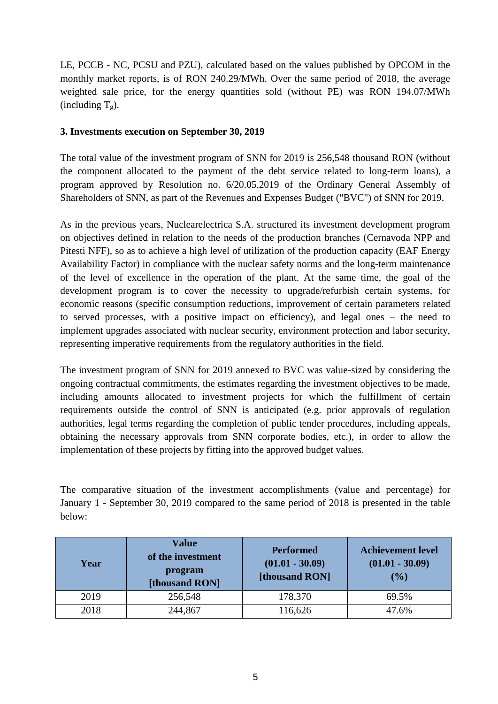LE, PCCB - NC, PCSU and PZU), calculated based on the values published by OPCOM in the monthly market reports, is of RON 240.29/MWh. Over the same period of 2018, the average weighted sale price, for the energy quantities sold (without PE) was RON 194.07/MWh (including  $T_g$ ).

### **3. Investments execution on September 30, 2019**

The total value of the investment program of SNN for 2019 is 256,548 thousand RON (without the component allocated to the payment of the debt service related to long-term loans), a program approved by Resolution no. 6/20.05.2019 of the Ordinary General Assembly of Shareholders of SNN, as part of the Revenues and Expenses Budget ("BVC") of SNN for 2019.

As in the previous years, Nuclearelectrica S.A. structured its investment development program on objectives defined in relation to the needs of the production branches (Cernavoda NPP and Pitesti NFF), so as to achieve a high level of utilization of the production capacity (EAF Energy Availability Factor) in compliance with the nuclear safety norms and the long-term maintenance of the level of excellence in the operation of the plant. At the same time, the goal of the development program is to cover the necessity to upgrade/refurbish certain systems, for economic reasons (specific consumption reductions, improvement of certain parameters related to served processes, with a positive impact on efficiency), and legal ones – the need to implement upgrades associated with nuclear security, environment protection and labor security, representing imperative requirements from the regulatory authorities in the field.

The investment program of SNN for 2019 annexed to BVC was value-sized by considering the ongoing contractual commitments, the estimates regarding the investment objectives to be made, including amounts allocated to investment projects for which the fulfillment of certain requirements outside the control of SNN is anticipated (e.g. prior approvals of regulation authorities, legal terms regarding the completion of public tender procedures, including appeals, obtaining the necessary approvals from SNN corporate bodies, etc.), in order to allow the implementation of these projects by fitting into the approved budget values.

The comparative situation of the investment accomplishments (value and percentage) for January 1 - September 30, 2019 compared to the same period of 2018 is presented in the table below:

| Year | <b>Value</b><br>of the investment<br>program<br>[thousand RON] | <b>Performed</b><br>$(01.01 - 30.09)$<br>[thousand RON] | <b>Achievement level</b><br>$(01.01 - 30.09)$<br>(%) |
|------|----------------------------------------------------------------|---------------------------------------------------------|------------------------------------------------------|
| 2019 | 256,548                                                        | 178,370                                                 | 69.5%                                                |
| 2018 | 244,867                                                        | 116,626                                                 | 47.6%                                                |